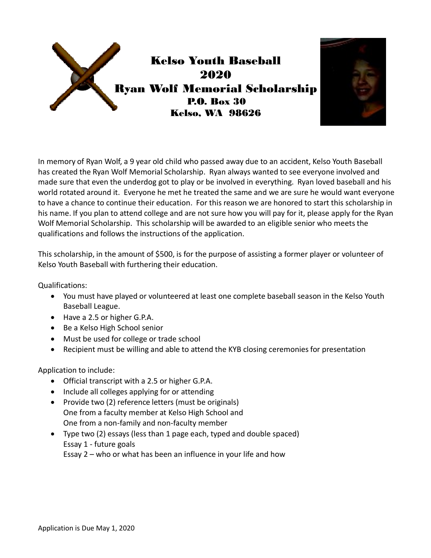



In memory of Ryan Wolf, a 9 year old child who passed away due to an accident, Kelso Youth Baseball has created the Ryan Wolf Memorial Scholarship. Ryan always wanted to see everyone involved and made sure that even the underdog got to play or be involved in everything. Ryan loved baseball and his world rotated around it. Everyone he met he treated the same and we are sure he would want everyone to have a chance to continue their education. For this reason we are honored to start this scholarship in his name. If you plan to attend college and are not sure how you will pay for it, please apply for the Ryan Wolf Memorial Scholarship. This scholarship will be awarded to an eligible senior who meets the qualifications and follows the instructions of the application.

This scholarship, in the amount of \$500, is for the purpose of assisting a former player or volunteer of Kelso Youth Baseball with furthering their education.

Qualifications:

- You must have played or volunteered at least one complete baseball season in the Kelso Youth Baseball League.
- Have a 2.5 or higher G.P.A.
- Be a Kelso High School senior
- Must be used for college or trade school
- Recipient must be willing and able to attend the KYB closing ceremonies for presentation

Application to include:

- Official transcript with a 2.5 or higher G.P.A.
- Include all colleges applying for or attending
- Provide two (2) reference letters (must be originals) One from a faculty member at Kelso High School and One from a non‐family and non‐faculty member
- Type two (2) essays (less than 1 page each, typed and double spaced) Essay 1 ‐ future goals

Essay 2 – who or what has been an influence in your life and how